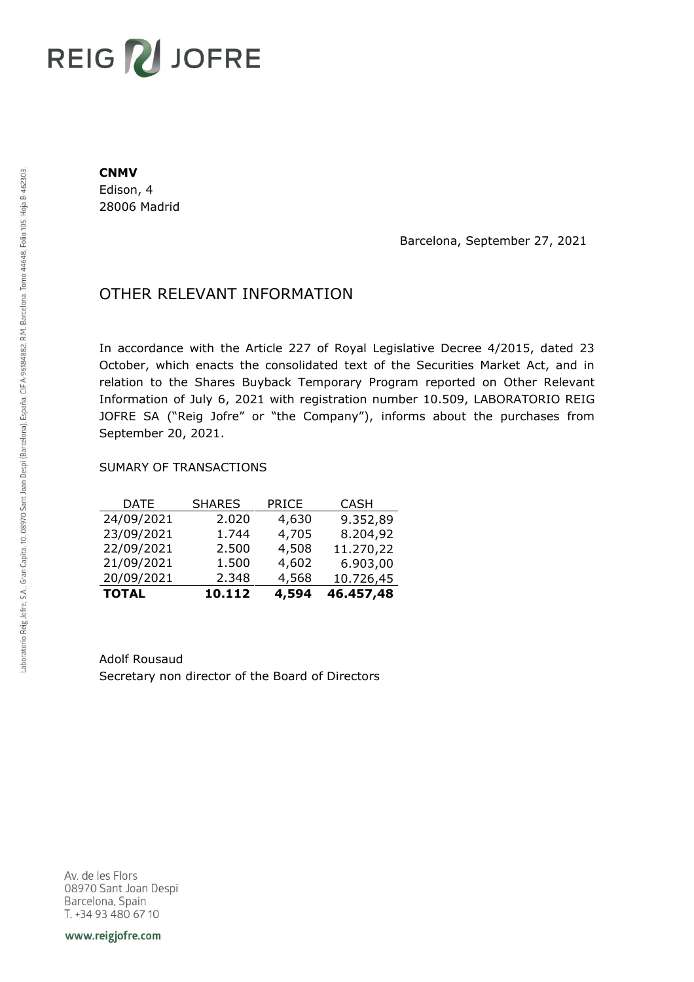# REIG V JOFRE

#### **CNMV**

Edison, 4 28006 Madrid

Barcelona, September 27, 2021

## OTHER RELEVANT INFORMATION

In accordance with the Article 227 of Royal Legislative Decree 4/2015, dated 23 October, which enacts the consolidated text of the Securities Market Act, and in relation to the Shares Buyback Temporary Program reported on Other Relevant Information of July 6, 2021 with registration number 10.509, LABORATORIO REIG JOFRE SA ("Reig Jofre" or "the Company"), informs about the purchases from September 20, 2021.

### SUMARY OF TRANSACTIONS

| <b>TOTAL</b> | 10.112        | 4,594        | 46.457,48   |
|--------------|---------------|--------------|-------------|
| 20/09/2021   | 2.348         | 4,568        | 10.726,45   |
| 21/09/2021   | 1.500         | 4,602        | 6.903,00    |
| 22/09/2021   | 2.500         | 4,508        | 11.270,22   |
| 23/09/2021   | 1.744         | 4,705        | 8.204,92    |
| 24/09/2021   | 2.020         | 4,630        | 9.352,89    |
| DATE         | <b>SHARES</b> | <b>PRICE</b> | <b>CASH</b> |

Adolf Rousaud Secretary non director of the Board of Directors

Av. de les Flors 08970 Sant Joan Despi Barcelona, Spain T. +34 93 480 67 10

www.reigjofre.com